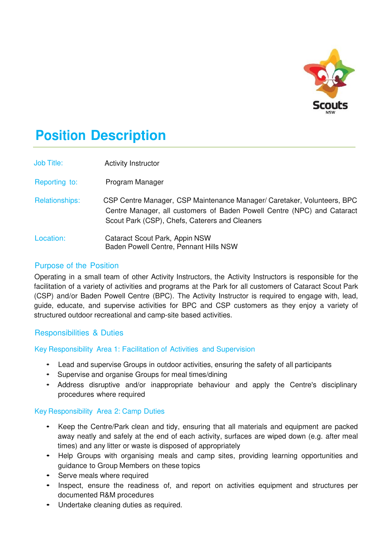

# **Position Description**

| <b>Job Title:</b>     | <b>Activity Instructor</b>                                                                                                                                                                           |
|-----------------------|------------------------------------------------------------------------------------------------------------------------------------------------------------------------------------------------------|
| Reporting to:         | Program Manager                                                                                                                                                                                      |
| <b>Relationships:</b> | CSP Centre Manager, CSP Maintenance Manager/ Caretaker, Volunteers, BPC<br>Centre Manager, all customers of Baden Powell Centre (NPC) and Cataract<br>Scout Park (CSP), Chefs, Caterers and Cleaners |
| Location:             | Cataract Scout Park, Appin NSW<br>Baden Powell Centre, Pennant Hills NSW                                                                                                                             |

## Purpose of the Position

Operating in a small team of other Activity Instructors, the Activity Instructors is responsible for the facilitation of a variety of activities and programs at the Park for all customers of Cataract Scout Park (CSP) and/or Baden Powell Centre (BPC). The Activity Instructor is required to engage with, lead, guide, educate, and supervise activities for BPC and CSP customers as they enjoy a variety of structured outdoor recreational and camp-site based activities.

## Responsibilities & Duties

Key Responsibility Area 1: Facilitation of Activities and Supervision

- Lead and supervise Groups in outdoor activities, ensuring the safety of all participants
- Supervise and organise Groups for meal times/dining
- Address disruptive and/or inappropriate behaviour and apply the Centre's disciplinary procedures where required

#### Key Responsibility Area 2: Camp Duties

- Keep the Centre/Park clean and tidy, ensuring that all materials and equipment are packed away neatly and safely at the end of each activity, surfaces are wiped down (e.g. after meal times) and any litter or waste is disposed of appropriately
- Help Groups with organising meals and camp sites, providing learning opportunities and guidance to Group Members on these topics
- Serve meals where required
- Inspect, ensure the readiness of, and report on activities equipment and structures per documented R&M procedures
- Undertake cleaning duties as required.